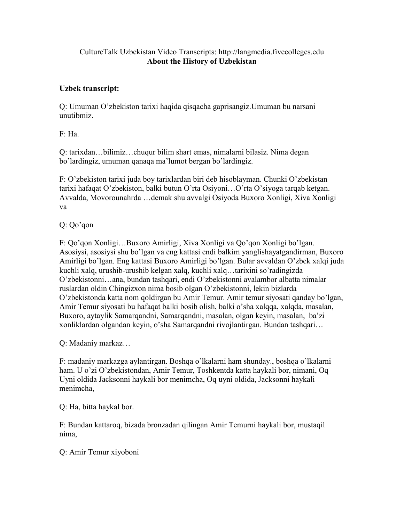## CultureTalk Uzbekistan Video Transcripts: http://langmedia.fivecolleges.edu About the History of Uzbekistan

## Uzbek transcript:

Q: Umuman O'zbekiston tarixi haqida qisqacha gaprisangiz.Umuman bu narsani unutibmiz.

F: Ha.

Q: tarixdan…bilimiz…chuqur bilim shart emas, nimalarni bilasiz. Nima degan bo'lardingiz, umuman qanaqa ma'lumot bergan bo'lardingiz.

F: O'zbekiston tarixi juda boy tarixlardan biri deb hisoblayman. Chunki O'zbekistan tarixi hafaqat O'zbekiston, balki butun O'rta Osiyoni…O'rta O'siyoga tarqab ketgan. Avvalda, Movorounahrda …demak shu avvalgi Osiyoda Buxoro Xonligi, Xiva Xonligi va

Q: Qo'qon

F: Qo'qon Xonligi…Buxoro Amirligi, Xiva Xonligi va Qo'qon Xonligi bo'lgan. Asosiysi, asosiysi shu bo'lgan va eng kattasi endi balkim yanglishayatgandirman, Buxoro Amirligi bo'lgan. Eng kattasi Buxoro Amirligi bo'lgan. Bular avvaldan O'zbek xalqi juda kuchli xalq, urushib-urushib kelgan xalq, kuchli xalq…tarixini so'radingizda O'zbekistonni…ana, bundan tashqari, endi O'zbekistonni avalambor albatta nimalar ruslardan oldin Chingizxon nima bosib olgan O'zbekistonni, lekin bizlarda O'zbekistonda katta nom qoldirgan bu Amir Temur. Amir temur siyosati qanday bo'lgan, Amir Temur siyosati bu hafaqat balki bosib olish, balki o'sha xalqqa, xalqda, masalan, Buxoro, aytaylik Samarqandni, Samarqandni, masalan, olgan keyin, masalan, ba'zi xonliklardan olgandan keyin, o'sha Samarqandni rivojlantirgan. Bundan tashqari…

Q: Madaniy markaz…

F: madaniy markazga aylantirgan. Boshqa o'lkalarni ham shunday., boshqa o'lkalarni ham. U o'zi O'zbekistondan, Amir Temur, Toshkentda katta haykali bor, nimani, Oq Uyni oldida Jacksonni haykali bor menimcha, Oq uyni oldida, Jacksonni haykali menimcha,

Q: Ha, bitta haykal bor.

F: Bundan kattaroq, bizada bronzadan qilingan Amir Temurni haykali bor, mustaqil nima,

Q: Amir Temur xiyoboni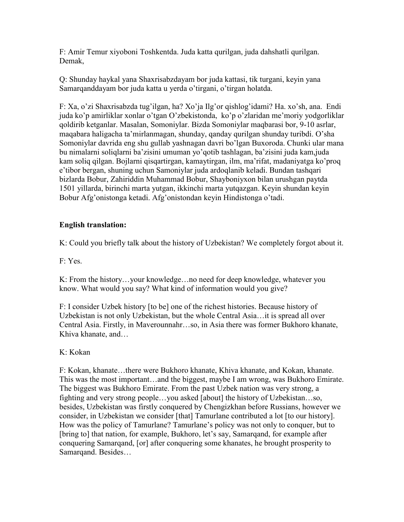F: Amir Temur xiyoboni Toshkentda. Juda katta qurilgan, juda dahshatli qurilgan. Demak,

Q: Shunday haykal yana Shaxrisabzdayam bor juda kattasi, tik turgani, keyin yana Samarqanddayam bor juda katta u yerda o'tirgani, o'tirgan holatda.

F: Xa, o'zi Shaxrisabzda tug'ilgan, ha? Xo'ja Ilg'or qishlog'idami? Ha. xo'sh, ana. Endi juda ko'p amirliklar xonlar o'tgan O'zbekistonda, ko'p o'zlaridan me'moriy yodgorliklar qoldirib ketganlar. Masalan, Somoniylar. Bizda Somoniylar maqbarasi bor, 9-10 asrlar, maqabara haligacha ta'mirlanmagan, shunday, qanday qurilgan shunday turibdi. O'sha Somoniylar davrida eng shu gullab yashnagan davri bo'lgan Buxoroda. Chunki ular mana bu nimalarni soliqlarni ba'zisini umuman yo'qotib tashlagan, ba'zisini juda kam,juda kam soliq qilgan. Bojlarni qisqartirgan, kamaytirgan, ilm, ma'rifat, madaniyatga ko'proq e'tibor bergan, shuning uchun Samoniylar juda ardoqlanib keladi. Bundan tashqari bizlarda Bobur, Zahiriddin Muhammad Bobur, Shayboniyxon bilan urushgan paytda 1501 yillarda, birinchi marta yutgan, ikkinchi marta yutqazgan. Keyin shundan keyin Bobur Afg'onistonga ketadi. Afg'onistondan keyin Hindistonga o'tadi.

## English translation:

K: Could you briefly talk about the history of Uzbekistan? We completely forgot about it.

F: Yes.

K: From the history…your knowledge…no need for deep knowledge, whatever you know. What would you say? What kind of information would you give?

F: I consider Uzbek history [to be] one of the richest histories. Because history of Uzbekistan is not only Uzbekistan, but the whole Central Asia…it is spread all over Central Asia. Firstly, in Maverounnahr…so, in Asia there was former Bukhoro khanate, Khiva khanate, and…

## K: Kokan

F: Kokan, khanate…there were Bukhoro khanate, Khiva khanate, and Kokan, khanate. This was the most important…and the biggest, maybe I am wrong, was Bukhoro Emirate. The biggest was Bukhoro Emirate. From the past Uzbek nation was very strong, a fighting and very strong people…you asked [about] the history of Uzbekistan…so, besides, Uzbekistan was firstly conquered by Chengizkhan before Russians, however we consider, in Uzbekistan we consider [that] Tamurlane contributed a lot [to our history]. How was the policy of Tamurlane? Tamurlane's policy was not only to conquer, but to [bring to] that nation, for example, Bukhoro, let's say, Samarqand, for example after conquering Samarqand, [or] after conquering some khanates, he brought prosperity to Samarqand. Besides…